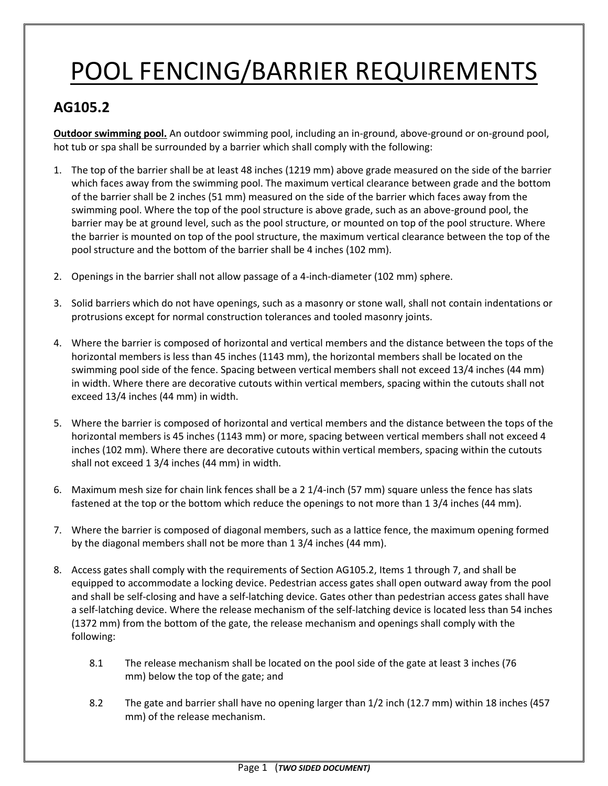## POOL FENCING/BARRIER REQUIREMENTS

## **AG105.2**

**Outdoor swimming pool.** An outdoor swimming pool, including an in-ground, above-ground or on-ground pool, hot tub or spa shall be surrounded by a barrier which shall comply with the following:

- 1. The top of the barrier shall be at least 48 inches (1219 mm) above grade measured on the side of the barrier which faces away from the swimming pool. The maximum vertical clearance between grade and the bottom of the barrier shall be 2 inches (51 mm) measured on the side of the barrier which faces away from the swimming pool. Where the top of the pool structure is above grade, such as an above-ground pool, the barrier may be at ground level, such as the pool structure, or mounted on top of the pool structure. Where the barrier is mounted on top of the pool structure, the maximum vertical clearance between the top of the pool structure and the bottom of the barrier shall be 4 inches (102 mm).
- 2. Openings in the barrier shall not allow passage of a 4-inch-diameter (102 mm) sphere.
- 3. Solid barriers which do not have openings, such as a masonry or stone wall, shall not contain indentations or protrusions except for normal construction tolerances and tooled masonry joints.
- 4. Where the barrier is composed of horizontal and vertical members and the distance between the tops of the horizontal members is less than 45 inches (1143 mm), the horizontal members shall be located on the swimming pool side of the fence. Spacing between vertical members shall not exceed 13/4 inches (44 mm) in width. Where there are decorative cutouts within vertical members, spacing within the cutouts shall not exceed 13/4 inches (44 mm) in width.
- 5. Where the barrier is composed of horizontal and vertical members and the distance between the tops of the horizontal members is 45 inches (1143 mm) or more, spacing between vertical members shall not exceed 4 inches (102 mm). Where there are decorative cutouts within vertical members, spacing within the cutouts shall not exceed 1 3/4 inches (44 mm) in width.
- 6. Maximum mesh size for chain link fences shall be a 2 1/4-inch (57 mm) square unless the fence has slats fastened at the top or the bottom which reduce the openings to not more than 1 3/4 inches (44 mm).
- 7. Where the barrier is composed of diagonal members, such as a lattice fence, the maximum opening formed by the diagonal members shall not be more than 1 3/4 inches (44 mm).
- 8. Access gates shall comply with the requirements of Section AG105.2, Items 1 through 7, and shall be equipped to accommodate a locking device. Pedestrian access gates shall open outward away from the pool and shall be self-closing and have a self-latching device. Gates other than pedestrian access gates shall have a self-latching device. Where the release mechanism of the self-latching device is located less than 54 inches (1372 mm) from the bottom of the gate, the release mechanism and openings shall comply with the following:
	- 8.1 The release mechanism shall be located on the pool side of the gate at least 3 inches (76 mm) below the top of the gate; and
	- 8.2 The gate and barrier shall have no opening larger than 1/2 inch (12.7 mm) within 18 inches (457 mm) of the release mechanism.